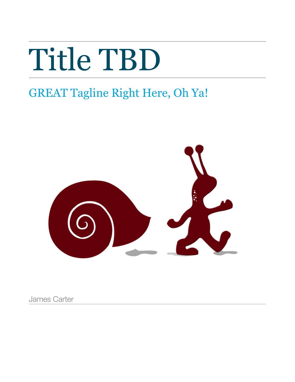# Title TBD

## GREAT Tagline Right Here, Oh Ya!



James Carter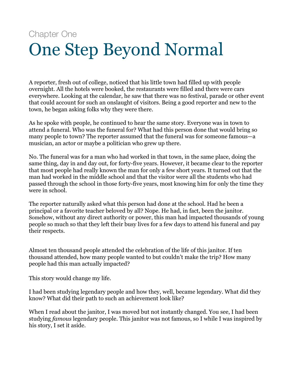## Chapter One One Step Beyond Normal

A reporter, fresh out of college, noticed that his little town had filled up with people overnight. All the hotels were booked, the restaurants were filled and there were cars everywhere. Looking at the calendar, he saw that there was no festival, parade or other event that could account for such an onslaught of visitors. Being a good reporter and new to the town, he began asking folks why they were there.

As he spoke with people, he continued to hear the same story. Everyone was in town to attend a funeral. Who was the funeral for? What had this person done that would bring so many people to town? The reporter assumed that the funeral was for someone famous—a musician, an actor or maybe a politician who grew up there.

No. The funeral was for a man who had worked in that town, in the same place, doing the same thing, day in and day out, for forty-five years. However, it became clear to the reporter that most people had really known the man for only a few short years. It turned out that the man had worked in the middle school and that the visitor were all the students who had passed through the school in those forty-five years, most knowing him for only the time they were in school.

The reporter naturally asked what this person had done at the school. Had he been a principal or a favorite teacher beloved by all? Nope. He had, in fact, been the janitor. Somehow, without any direct authority or power, this man had impacted thousands of young people so much so that they left their busy lives for a few days to attend his funeral and pay their respects.

Almost ten thousand people attended the celebration of the life of this janitor. If ten thousand attended, how many people wanted to but couldn't make the trip? How many people had this man actually impacted?

This story would change my life.

I had been studying legendary people and how they, well, became legendary. What did they know? What did their path to such an achievement look like?

When I read about the janitor, I was moved but not instantly changed. You see, I had been studying *famous* legendary people. This janitor was not famous, so I while I was inspired by his story, I set it aside.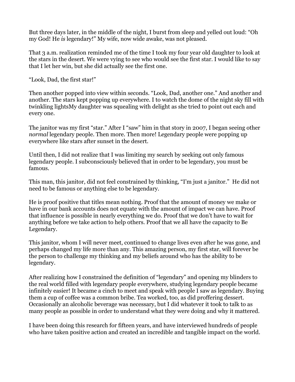But three days later, in the middle of the night, I burst from sleep and yelled out loud: "Oh my God! He *is* legendary!" My wife, now wide awake, was not pleased.

That 3 a.m. realization reminded me of the time I took my four year old daughter to look at the stars in the desert. We were vying to see who would see the first star. I would like to say that I let her win, but she did actually see the first one.

"Look, Dad, the first star!"

Then another popped into view within seconds. "Look, Dad, another one." And another and another. The stars kept popping up everywhere. I to watch the dome of the night sky fill with twinkling lightsMy daughter was squealing with delight as she tried to point out each and every one.

The janitor was my first "star." After I "saw" him in that story in 2007, I began seeing other *normal* legendary people. Then more. Then more! Legendary people were popping up everywhere like stars after sunset in the desert.

Until then, I did not realize that I was limiting my search by seeking out only famous legendary people. I subconsciously believed that in order to be legendary, you must be famous.

This man, this janitor, did not feel constrained by thinking, "I'm just a janitor." He did not need to be famous or anything else to be legendary.

He is proof positive that titles mean nothing. Proof that the amount of money we make or have in our bank accounts does not equate with the amount of impact we can have. Proof that influence is possible in nearly everything we do. Proof that we don't have to wait for anything before we take action to help others. Proof that we all have the capacity to Be Legendary.

This janitor, whom I will never meet, continued to change lives even after he was gone, and perhaps changed my life more than any. This amazing person, my first star, will forever be the person to challenge my thinking and my beliefs around who has the ability to be legendary.

After realizing how I constrained the definition of "legendary" and opening my blinders to the real world filled with legendary people everywhere, studying legendary people became infinitely easier! It became a cinch to meet and speak with people I saw as legendary. Buying them a cup of coffee was a common bribe. Tea worked, too, as did proffering dessert. Occasionally an alcoholic beverage was necessary, but I did whatever it took to talk to as many people as possible in order to understand what they were doing and why it mattered.

I have been doing this research for fifteen years, and have interviewed hundreds of people who have taken positive action and created an incredible and tangible impact on the world.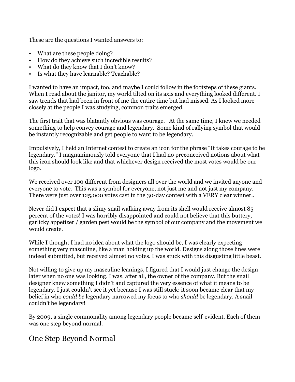These are the questions I wanted answers to:

- What are these people doing?
- How do they achieve such incredible results?
- What do they know that I don't know?
- Is what they have learnable? Teachable?

I wanted to have an impact, too, and maybe I could follow in the footsteps of these giants. When I read about the janitor, my world tilted on its axis and everything looked different. I saw trends that had been in front of me the entire time but had missed. As I looked more closely at the people I was studying, common traits emerged.

The first trait that was blatantly obvious was courage. At the same time, I knew we needed something to help convey courage and legendary. Some kind of rallying symbol that would be instantly recognizable and get people to want to be legendary.

Impulsively, I held an Internet contest to create an icon for the phrase "It takes courage to be legendary." I magnanimously told everyone that I had no preconceived notions about what this icon should look like and that whichever design received the most votes would be our logo.

We received over 100 different from designers all over the world and we invited anyone and everyone to vote. This was a symbol for everyone, not just me and not just my company. There were just over 125,000 votes cast in the 30-day contest with a VERY clear winner..

Never did I expect that a slimy snail walking away from its shell would receive almost 85 percent of the votes! I was horribly disappointed and could not believe that this buttery, garlicky appetizer / garden pest would be the symbol of our company and the movement we would create.

While I thought I had no idea about what the logo should be, I was clearly expecting something very masculine, like a man holding up the world. Designs along those lines were indeed submitted, but received almost no votes. I was stuck with this disgusting little beast.

Not willing to give up my masculine leanings, I figured that I would just change the design later when no one was looking. I was, after all, the owner of the company. But the snail designer knew something I didn't and captured the very essence of what it means to be legendary. I just couldn't see it yet because I was still stuck: it soon became clear that my belief in who *could be* legendary narrowed my focus to who *should* be legendary. A snail couldn't be legendary!

By 2009, a single commonality among legendary people became self-evident. Each of them was one step beyond normal.

### One Step Beyond Normal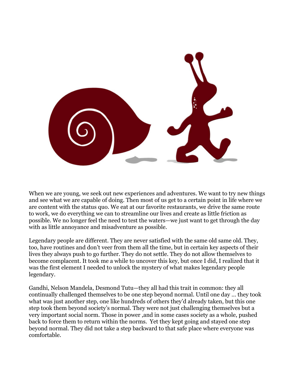

When we are young, we seek out new experiences and adventures. We want to try new things and see what we are capable of doing. Then most of us get to a certain point in life where we are content with the status quo. We eat at our favorite restaurants, we drive the same route to work, we do everything we can to streamline our lives and create as little friction as possible. We no longer feel the need to test the waters—we just want to get through the day with as little annoyance and misadventure as possible.

Legendary people are different. They are never satisfied with the same old same old. They, too, have routines and don't veer from them all the time, but in certain key aspects of their lives they always push to go further. They do not settle. They do not allow themselves to become complacent. It took me a while to uncover this key, but once I did, I realized that it was the first element I needed to unlock the mystery of what makes legendary people legendary.

Gandhi, Nelson Mandela, Desmond Tutu—they all had this trait in common: they all continually challenged themselves to be one step beyond normal. Until one day … they took what was just another step, one like hundreds of others they'd already taken, but this one step took them beyond society's normal. They were not just challenging themselves but a very important social norm. Those in power ,and in some cases society as a whole, pushed back to force them to return within the norms. Yet they kept going and stayed one step beyond normal. They did not take a step backward to that safe place where everyone was comfortable.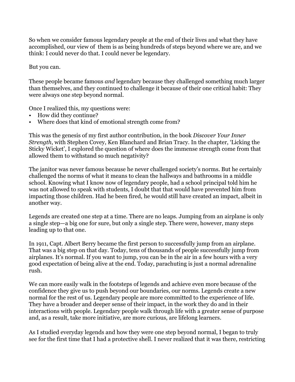So when we consider famous legendary people at the end of their lives and what they have accomplished, our view of them is as being hundreds of steps beyond where we are, and we think: I could never do that. I could never be legendary.

But you can.

These people became famous *and* legendary because they challenged something much larger than themselves, and they continued to challenge it because of their one critical habit: They were always one step beyond normal.

Once I realized this, my questions were:

- How did they continue?
- Where does that kind of emotional strength come from?

This was the genesis of my first author contribution, in the book *Discover Your Inner Strength*, with Stephen Covey, Ken Blanchard and Brian Tracy. In the chapter, 'Licking the Sticky Wicket', I explored the question of where does the immense strength come from that allowed them to withstand so much negativity?

The janitor was never famous because he never challenged society's norms. But he certainly challenged the norms of what it means to clean the hallways and bathrooms in a middle school. Knowing what I know now of legendary people, had a school principal told him he was not allowed to speak with students, I doubt that that would have prevented him from impacting those children. Had he been fired, he would still have created an impact, albeit in another way.

Legends are created one step at a time. There are no leaps. Jumping from an airplane is only a single step—a big one for sure, but only a single step. There were, however, many steps leading up to that one.

In 1911, Capt. Albert Berry became the first person to successfully jump from an airplane. That was a big step on that day. Today, tens of thousands of people successfully jump from airplanes. It's normal. If you want to jump, you can be in the air in a few hours with a very good expectation of being alive at the end. Today, parachuting is just a normal adrenaline rush.

We can more easily walk in the footsteps of legends and achieve even more because of the confidence they give us to push beyond our boundaries, our norms. Legends create a new normal for the rest of us. Legendary people are more committed to the experience of life. They have a broader and deeper sense of their impact, in the work they do and in their interactions with people. Legendary people walk through life with a greater sense of purpose and, as a result, take more initiative, are more curious, are lifelong learners.

As I studied everyday legends and how they were one step beyond normal, I began to truly see for the first time that I had a protective shell. I never realized that it was there, restricting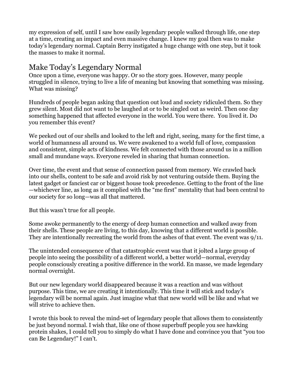my expression of self, until I saw how easily legendary people walked through life, one step at a time, creating an impact and even massive change. I knew my goal then was to make today's legendary normal. Captain Berry instigated a huge change with one step, but it took the masses to make it normal.

### Make Today's Legendary Normal

Once upon a time, everyone was happy. Or so the story goes. However, many people struggled in silence, trying to live a life of meaning but knowing that something was missing. What was missing?

Hundreds of people began asking that question out loud and society ridiculed them. So they grew silent. Most did not want to be laughed at or to be singled out as weird. Then one day something happened that affected everyone in the world. You were there. You lived it. Do you remember this event?

We peeked out of our shells and looked to the left and right, seeing, many for the first time, a world of humanness all around us. We were awakened to a world full of love, compassion and consistent, simple acts of kindness. We felt connected with those around us in a million small and mundane ways. Everyone reveled in sharing that human connection.

Over time, the event and that sense of connection passed from memory. We crawled back into our shells, content to be safe and avoid risk by not venturing outside them. Buying the latest gadget or fanciest car or biggest house took precedence. Getting to the front of the line —whichever line, as long as it complied with the "me first" mentality that had been central to our society for so long—was all that mattered.

But this wasn't true for all people.

Some awoke permanently to the energy of deep human connection and walked away from their shells. These people are living, to this day, knowing that a different world is possible. They are intentionally recreating the world from the ashes of that event. The event was 9/11.

The unintended consequence of that catastrophic event was that it jolted a large group of people into seeing the possibility of a different world, a better world—normal, everyday people consciously creating a positive difference in the world. En masse, we made legendary normal overnight.

But our new legendary world disappeared because it was a reaction and was without purpose. This time, we are creating it intentionally. This time it will stick and today's legendary will be normal again. Just imagine what that new world will be like and what we will strive to achieve then.

I wrote this book to reveal the mind-set of legendary people that allows them to consistently be just beyond normal. I wish that, like one of those superbuff people you see hawking protein shakes, I could tell you to simply do what I have done and convince you that "you too can Be Legendary!" I can't.